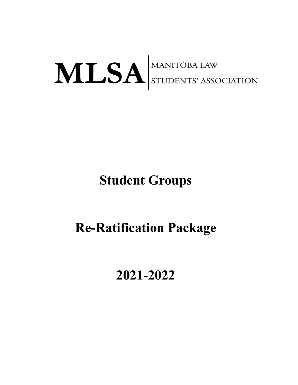### MLSA STUDENTS' ASSOCIATION

### **Student Groups**

### **Re-Ratification Package**

#### **2021-2022**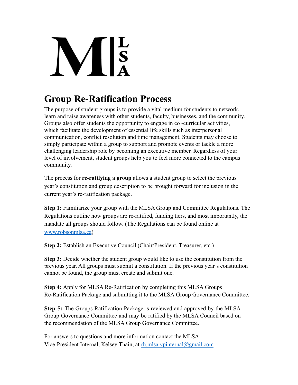# $\frac{L}{s}$

#### **Group Re-Ratification Process**

The purpose of student groups is to provide a vital medium for students to network, learn and raise awareness with other students, faculty, businesses, and the community. Groups also offer students the opportunity to engage in co -curricular activities, which facilitate the development of essential life skills such as interpersonal communication, conflict resolution and time management. Students may choose to simply participate within a group to support and promote events or tackle a more challenging leadership role by becoming an executive member. Regardless of your level of involvement, student groups help you to feel more connected to the campus community.

The process for **re-ratifying a group** allows a student group to select the previous year's constitution and group description to be brought forward for inclusion in the current year's re-ratification package.

**Step 1:** Familiarize your group with the MLSA Group and Committee Regulations. The Regulations outline how groups are re-ratified, funding tiers, and most importantly, the mandate all groups should follow. (The Regulations can be found online at [www.robsonmlsa.ca](http://www.robsonmlsa.ca))

**Step 2:** Establish an Executive Council (Chair/President, Treasurer, etc.)

**Step 3:** Decide whether the student group would like to use the constitution from the previous year. All groups must submit a constitution. If the previous year's constitution cannot be found, the group must create and submit one.

**Step 4:** Apply for MLSA Re-Ratification by completing this MLSA Groups Re-Ratification Package and submitting it to the MLSA Group Governance Committee.

**Step 5:** The Groups Ratification Package is reviewed and approved by the MLSA Group Governance Committee and may be ratified by the MLSA Council based on the recommendation of the MLSA Group Governance Committee.

For answers to questions and more information contact the MLSA Vice-President Internal, Kelsey Thain, at [rh.mlsa.vpinternal@gmail.com](mailto:rh.mlsa.vpinternal@gmail.com)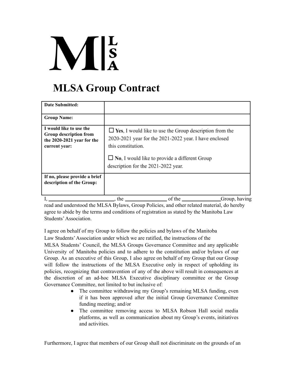## $\mathbf{M}$  is

#### **MLSA Group Contract**

| <b>Date Submitted:</b>                                                                           |                                                                                                                                                                                                                                               |
|--------------------------------------------------------------------------------------------------|-----------------------------------------------------------------------------------------------------------------------------------------------------------------------------------------------------------------------------------------------|
| <b>Group Name:</b>                                                                               |                                                                                                                                                                                                                                               |
| I would like to use the<br>Group description from<br>the 2020-2021 year for the<br>current year: | $\Box$ Yes, I would like to use the Group description from the<br>2020-2021 year for the 2021-2022 year. I have enclosed<br>this constitution.<br>$\Box$ No, I would like to provide a different Group<br>description for the 2021-2022 year. |
| If no, please provide a brief<br>description of the Group:                                       |                                                                                                                                                                                                                                               |
|                                                                                                  | of the<br>the<br>Group, having                                                                                                                                                                                                                |

read and understood the MLSA Bylaws, Group Policies, and other related material, do hereby agree to abide by the terms and conditions of registration as stated by the Manitoba Law Students'Association.

I agree on behalf of my Group to follow the policies and bylaws of the Manitoba

Law Students'Association under which we are ratified, the instructions of the

MLSA Students' Council, the MLSA Groups Governance Committee and any applicable University of Manitoba policies and to adhere to the constitution and/or bylaws of our Group. As an executive of this Group, I also agree on behalf of my Group that our Group will follow the instructions of the MLSA Executive only in respect of upholding its policies, recognizing that contravention of any of the above will result in consequences at the discretion of an ad-hoc MLSA Executive disciplinary committee or the Group Governance Committee, not limited to but inclusive of:

- The committee withdrawing my Group's remaining MLSA funding, even if it has been approved after the initial Group Governance Committee funding meeting; and/or
- The committee removing access to MLSA Robson Hall social media platforms, as well as communication about my Group's events, initiatives and activities.

Furthermore, I agree that members of our Group shall not discriminate on the grounds of an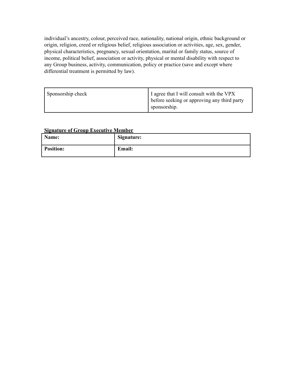individual's ancestry, colour, perceived race, nationality, national origin, ethnic background or origin, religion, creed or religious belief, religious association or activities, age, sex, gender, physical characteristics, pregnancy, sexual orientation, marital or family status, source of income, political belief, association or activity, physical or mental disability with respect to any Group business, activity, communication, policy or practice (save and except where differential treatment is permitted by law).

| Sponsorship check | I agree that I will consult with the VPX<br>before seeking or approving any third party<br>sponsorship. |
|-------------------|---------------------------------------------------------------------------------------------------------|
|-------------------|---------------------------------------------------------------------------------------------------------|

#### **Signature of Group Executive Member**

| Name:            | Signature:    |
|------------------|---------------|
| <b>Position:</b> | <b>Email:</b> |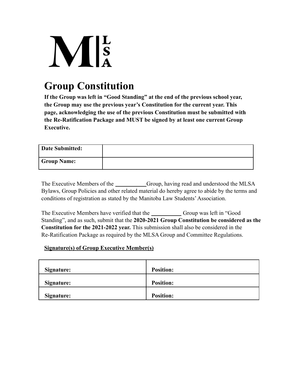## $\mathbf{M}$   $\mathbf{s}$

#### **Group Constitution**

**If the Group was left in "Good Standing" at the end of the previous school year, the Group may use the previous year's Constitution for the current year. This page, acknowledging the use of the previous Constitution must be submitted with the Re-Ratification Package and MUST be signed by at least one current Group Executive.**

| Date Submitted:    |  |
|--------------------|--|
| <b>Group Name:</b> |  |

The Executive Members of the Group, having read and understood the MLSA Bylaws, Group Policies and other related material do hereby agree to abide by the terms and conditions of registration as stated by the Manitoba Law Students'Association.

The Executive Members have verified that the Group was left in "Good" Standing", and as such, submit that the **2020-2021 Group Constitution be considered as the Constitution for the 2021-2022 year.** This submission shall also be considered in the Re-Ratification Package as required by the MLSA Group and Committee Regulations.

#### **Signature(s) of Group Executive Member(s)**

| Signature: | <b>Position:</b> |
|------------|------------------|
| Signature: | <b>Position:</b> |
| Signature: | <b>Position:</b> |